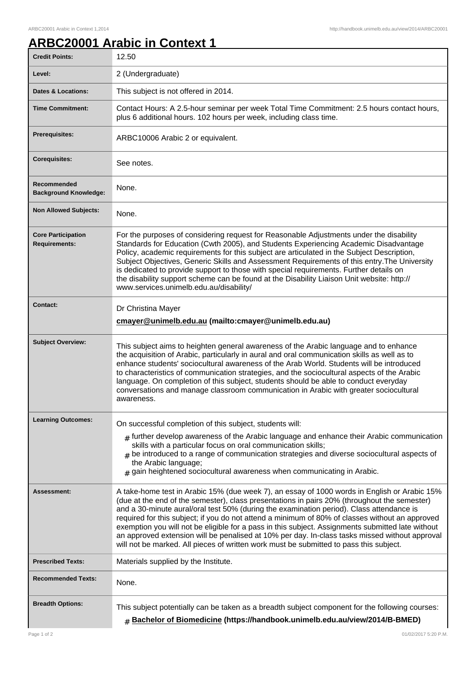## **ARBC20001 Arabic in Context 1**

| <b>Credit Points:</b>                             | 12.50                                                                                                                                                                                                                                                                                                                                                                                                                                                                                                                                                                                                                                                                                        |
|---------------------------------------------------|----------------------------------------------------------------------------------------------------------------------------------------------------------------------------------------------------------------------------------------------------------------------------------------------------------------------------------------------------------------------------------------------------------------------------------------------------------------------------------------------------------------------------------------------------------------------------------------------------------------------------------------------------------------------------------------------|
| Level:                                            | 2 (Undergraduate)                                                                                                                                                                                                                                                                                                                                                                                                                                                                                                                                                                                                                                                                            |
| Dates & Locations:                                | This subject is not offered in 2014.                                                                                                                                                                                                                                                                                                                                                                                                                                                                                                                                                                                                                                                         |
| <b>Time Commitment:</b>                           | Contact Hours: A 2.5-hour seminar per week Total Time Commitment: 2.5 hours contact hours,<br>plus 6 additional hours. 102 hours per week, including class time.                                                                                                                                                                                                                                                                                                                                                                                                                                                                                                                             |
| <b>Prerequisites:</b>                             | ARBC10006 Arabic 2 or equivalent.                                                                                                                                                                                                                                                                                                                                                                                                                                                                                                                                                                                                                                                            |
| <b>Corequisites:</b>                              | See notes.                                                                                                                                                                                                                                                                                                                                                                                                                                                                                                                                                                                                                                                                                   |
| Recommended<br><b>Background Knowledge:</b>       | None.                                                                                                                                                                                                                                                                                                                                                                                                                                                                                                                                                                                                                                                                                        |
| <b>Non Allowed Subjects:</b>                      | None.                                                                                                                                                                                                                                                                                                                                                                                                                                                                                                                                                                                                                                                                                        |
| <b>Core Participation</b><br><b>Requirements:</b> | For the purposes of considering request for Reasonable Adjustments under the disability<br>Standards for Education (Cwth 2005), and Students Experiencing Academic Disadvantage<br>Policy, academic requirements for this subject are articulated in the Subject Description,<br>Subject Objectives, Generic Skills and Assessment Requirements of this entry. The University<br>is dedicated to provide support to those with special requirements. Further details on<br>the disability support scheme can be found at the Disability Liaison Unit website: http://<br>www.services.unimelb.edu.au/disability/                                                                             |
| <b>Contact:</b>                                   | Dr Christina Mayer<br>cmayer@unimelb.edu.au (mailto:cmayer@unimelb.edu.au)                                                                                                                                                                                                                                                                                                                                                                                                                                                                                                                                                                                                                   |
| <b>Subject Overview:</b>                          | This subject aims to heighten general awareness of the Arabic language and to enhance<br>the acquisition of Arabic, particularly in aural and oral communication skills as well as to<br>enhance students' sociocultural awareness of the Arab World. Students will be introduced<br>to characteristics of communication strategies, and the sociocultural aspects of the Arabic<br>language. On completion of this subject, students should be able to conduct everyday<br>conversations and manage classroom communication in Arabic with greater sociocultural<br>awareness.                                                                                                              |
| <b>Learning Outcomes:</b>                         | On successful completion of this subject, students will:<br>$_{\#}$ further develop awareness of the Arabic language and enhance their Arabic communication<br>skills with a particular focus on oral communication skills;<br>$#$ be introduced to a range of communication strategies and diverse sociocultural aspects of<br>the Arabic language;<br>$#$ gain heightened sociocultural awareness when communicating in Arabic.                                                                                                                                                                                                                                                            |
| Assessment:                                       | A take-home test in Arabic 15% (due week 7), an essay of 1000 words in English or Arabic 15%<br>(due at the end of the semester), class presentations in pairs 20% (throughout the semester)<br>and a 30-minute aural/oral test 50% (during the examination period). Class attendance is<br>required for this subject; if you do not attend a minimum of 80% of classes without an approved<br>exemption you will not be eligible for a pass in this subject. Assignments submitted late without<br>an approved extension will be penalised at 10% per day. In-class tasks missed without approval<br>will not be marked. All pieces of written work must be submitted to pass this subject. |
| <b>Prescribed Texts:</b>                          | Materials supplied by the Institute.                                                                                                                                                                                                                                                                                                                                                                                                                                                                                                                                                                                                                                                         |
| <b>Recommended Texts:</b>                         | None.                                                                                                                                                                                                                                                                                                                                                                                                                                                                                                                                                                                                                                                                                        |
| <b>Breadth Options:</b>                           | This subject potentially can be taken as a breadth subject component for the following courses:<br># Bachelor of Biomedicine (https://handbook.unimelb.edu.au/view/2014/B-BMED)                                                                                                                                                                                                                                                                                                                                                                                                                                                                                                              |